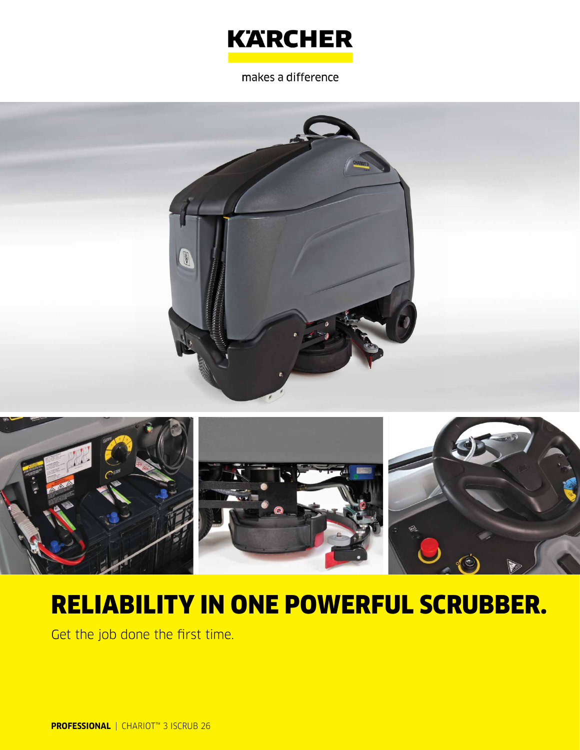

makes a difference





# RELIABILITY IN ONE POWERFUL SCRUBBER.

Get the job done the first time.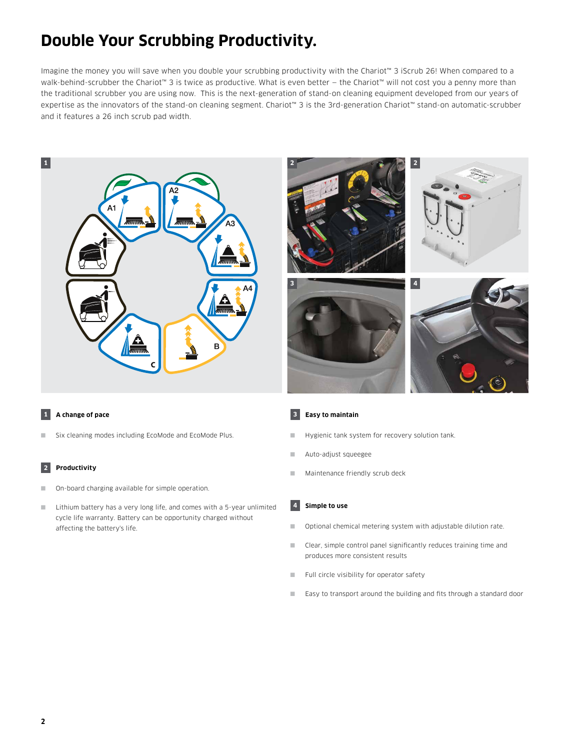# **Double Your Scrubbing Productivity.**

Imagine the money you will save when you double your scrubbing productivity with the Chariot™ 3 iScrub 26! When compared to a walk-behind-scrubber the Chariot<sup>™</sup> 3 is twice as productive. What is even better – the Chariot™ will not cost you a penny more than the traditional scrubber you are using now. This is the next-generation of stand-on cleaning equipment developed from our years of expertise as the innovators of the stand-on cleaning segment. Chariot™ 3 is the 3rd-generation Chariot™ stand-on automatic-scrubber and it features a 26 inch scrub pad width.





### **1 A change of pace**

■ Six cleaning modes including EcoMode and EcoMode Plus.

# **2 Productivity**

- On-board charging available for simple operation.
- Lithium battery has a very long life, and comes with a 5-year unlimited cycle life warranty. Battery can be opportunity charged without affecting the battery's life.

#### **3 Easy to maintain**

- Hygienic tank system for recovery solution tank.
- Auto-adjust squeegee
- Maintenance friendly scrub deck

#### **4 Simple to use**

- Optional chemical metering system with adjustable dilution rate.
- Clear, simple control panel significantly reduces training time and produces more consistent results
- Full circle visibility for operator safety
- Easy to transport around the building and fits through a standard door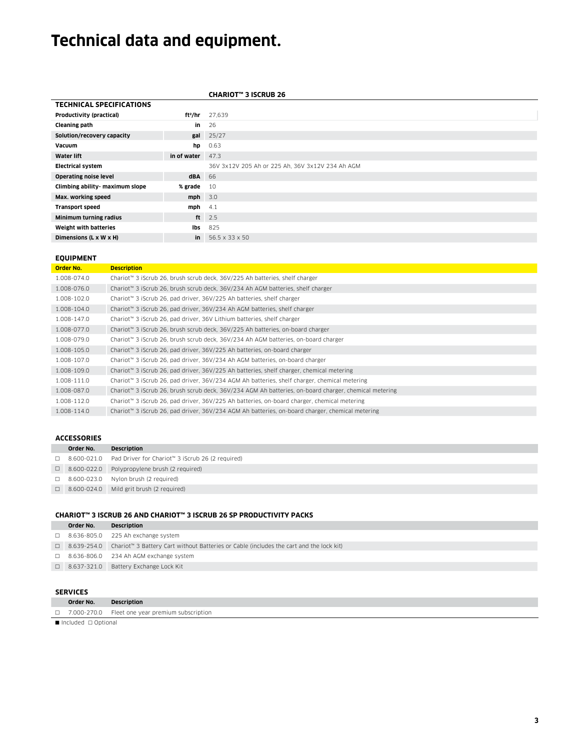# **Technical data and equipment.**

|                                 |                     | <b>CHARIOT™ 3 ISCRUB 26</b>                      |
|---------------------------------|---------------------|--------------------------------------------------|
| <b>TECHNICAL SPECIFICATIONS</b> |                     |                                                  |
| Productivity (practical)        | ft <sup>2</sup> /hr | 27,639                                           |
| <b>Cleaning path</b>            | in                  | 26                                               |
| Solution/recovery capacity      | gal                 | 25/27                                            |
| Vacuum                          | hp                  | 0.63                                             |
| <b>Water lift</b>               | in of water         | 47.3                                             |
| <b>Electrical system</b>        |                     | 36V 3x12V 205 Ah or 225 Ah, 36V 3x12V 234 Ah AGM |
| <b>Operating noise level</b>    | dBA                 | 66                                               |
| Climbing ability- maximum slope | % grade             | 10                                               |
| Max. working speed              | $mph$ 3.0           |                                                  |
| <b>Transport speed</b>          | $mph$ 4.1           |                                                  |
| Minimum turning radius          | ft                  | 2.5                                              |
| Weight with batteries           | lbs                 | 825                                              |
| Dimensions (L x W x H)          | in                  | 56.5 x 33 x 50                                   |

#### **EQUIPMENT**

| Order No.   | <b>Description</b>                                                                                    |
|-------------|-------------------------------------------------------------------------------------------------------|
| 1.008-074.0 | Chariot™ 3 iScrub 26, brush scrub deck, 36V/225 Ah batteries, shelf charger                           |
| 1.008-076.0 | Chariot™ 3 iScrub 26, brush scrub deck, 36V/234 Ah AGM batteries, shelf charger                       |
| 1.008-102.0 | Chariot™ 3 iScrub 26, pad driver, 36V/225 Ah batteries, shelf charger                                 |
| 1.008-104.0 | Chariot™ 3 iScrub 26, pad driver, 36V/234 Ah AGM batteries, shelf charger                             |
| 1.008-147.0 | Chariot™ 3 iScrub 26, pad driver, 36V Lithium batteries, shelf charger                                |
| 1.008-077.0 | Chariot™ 3 iScrub 26, brush scrub deck, 36V/225 Ah batteries, on-board charger                        |
| 1.008-079.0 | Chariot™ 3 iScrub 26, brush scrub deck, 36V/234 Ah AGM batteries, on-board charger                    |
| 1.008-105.0 | Chariot™ 3 iScrub 26, pad driver, 36V/225 Ah batteries, on-board charger                              |
| 1.008-107.0 | Chariot™ 3 iScrub 26, pad driver, 36V/234 Ah AGM batteries, on-board charger                          |
| 1.008-109.0 | Chariot™ 3 iScrub 26, pad driver, 36V/225 Ah batteries, shelf charger, chemical metering              |
| 1.008-111.0 | Chariot™ 3 iScrub 26, pad driver, 36V/234 AGM Ah batteries, shelf charger, chemical metering          |
| 1.008-087.0 | Chariot™ 3 iScrub 26, brush scrub deck, 36V/234 AGM Ah batteries, on-board charger, chemical metering |
| 1.008-112.0 | Chariot™ 3 iScrub 26, pad driver, 36V/225 Ah batteries, on-board charger, chemical metering           |
| 1.008-114.0 | Chariot™ 3 iScrub 26, pad driver, 36V/234 AGM Ah batteries, on-board charger, chemical metering       |
|             |                                                                                                       |

#### **ACCESSORIES**

| Order No. | <b>Description</b>                                                               |
|-----------|----------------------------------------------------------------------------------|
|           | $\Box$ 8.600-021.0 Pad Driver for Chariot <sup>**</sup> 3 iScrub 26 (2 required) |
|           | $\Box$ 8.600-022.0 Polypropylene brush (2 required)                              |
|           | $\Box$ 8.600-023.0 Nylon brush (2 required)                                      |
|           | $\Box$ 8.600-024.0 Mild grit brush (2 required)                                  |

#### **CHARIOT™ 3 ISCRUB 26 AND CHARIOT™ 3 ISCRUB 26 SP PRODUCTIVITY PACKS**

| Order No. | Description                                                                                           |
|-----------|-------------------------------------------------------------------------------------------------------|
|           | $\Box$ 8.636-805.0 225 Ah exchange system                                                             |
|           | □ 8.639-254.0 Chariot™ 3 Battery Cart without Batteries or Cable (includes the cart and the lock kit) |
|           | $\Box$ 8.636-806.0 234 Ah AGM exchange system                                                         |
|           | □ 8.637-321.0 Battery Exchange Lock Kit                                                               |
|           |                                                                                                       |

# **SERVICES**

| JLIVILLJ                 |                                                        |  |  |
|--------------------------|--------------------------------------------------------|--|--|
| Order No.                | <b>Description</b>                                     |  |  |
|                          | $\Box$ 7.000-270.0 Fleet one year premium subscription |  |  |
| Included $\Box$ Optional |                                                        |  |  |